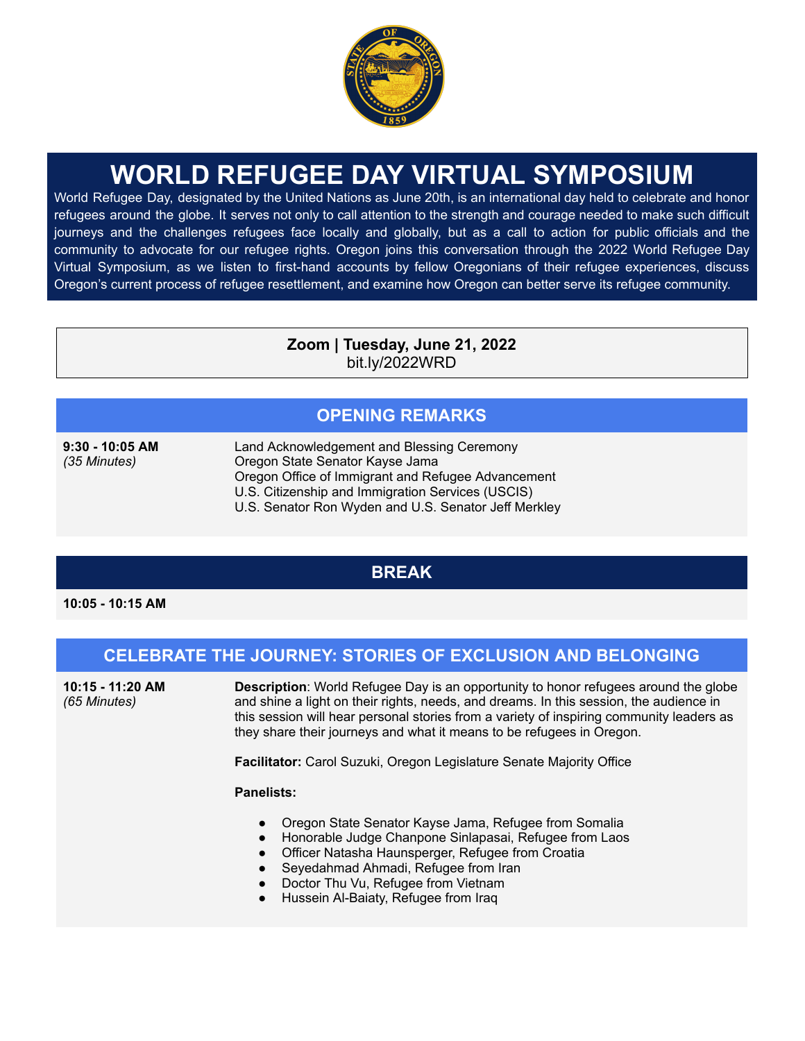

# **WORLD REFUGEE DAY VIRTUAL SYMPOSIUM**

World Refugee Day, designated by the United Nations as June 20th, is an international day held to celebrate and honor refugees around the globe. It serves not only to call attention to the strength and courage needed to make such difficult journeys and the challenges refugees face locally and globally, but as a call to action for public officials and the community to advocate for our refugee rights. Oregon joins this conversation through the 2022 World Refugee Day Virtual Symposium, as we listen to first-hand accounts by fellow Oregonians of their refugee experiences, discuss Oregon's current process of refugee resettlement, and examine how Oregon can better serve its refugee community.

> **Zoom | Tuesday, June 21, 2022** bit.ly/2022WRD

## **OPENING REMARKS**

**9:30 - 10:05 AM** *(35 Minutes)*

Land Acknowledgement and Blessing Ceremony Oregon State Senator Kayse Jama Oregon Office of Immigrant and Refugee Advancement U.S. Citizenship and Immigration Services (USCIS) U.S. Senator Ron Wyden and U.S. Senator Jeff Merkley

## **BREAK**

**10:05 - 10:15 AM**

## **CELEBRATE THE JOURNEY: STORIES OF EXCLUSION AND BELONGING**

**10:15 - 11:20 AM** *(65 Minutes)*

**Description**: World Refugee Day is an opportunity to honor refugees around the globe and shine a light on their rights, needs, and dreams. In this session, the audience in this session will hear personal stories from a variety of inspiring community leaders as they share their journeys and what it means to be refugees in Oregon.

**Facilitator:** Carol Suzuki, Oregon Legislature Senate Majority Office

#### **Panelists:**

- Oregon State Senator Kayse Jama, Refugee from Somalia
- Honorable Judge Chanpone Sinlapasai, Refugee from Laos
- Officer Natasha Haunsperger, Refugee from Croatia
- Seyedahmad Ahmadi, Refugee from Iran
- Doctor Thu Vu, Refugee from Vietnam
- Hussein Al-Baiaty, Refugee from Iraq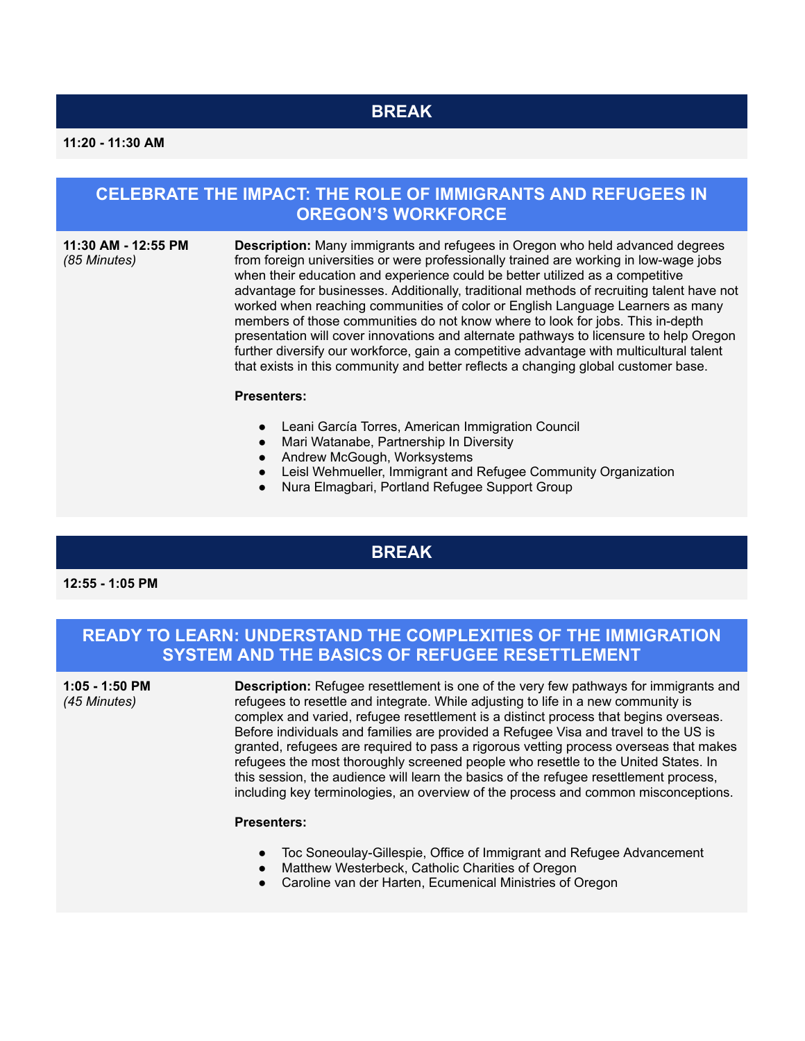# **BREAK**

#### **CELEBRATE THE IMPACT: THE ROLE OF IMMIGRANTS AND REFUGEES IN OREGON'S WORKFORCE**

#### **11:30 AM - 12:55 PM** *(85 Minutes)*

**Description:** Many immigrants and refugees in Oregon who held advanced degrees from foreign universities or were professionally trained are working in low-wage jobs when their education and experience could be better utilized as a competitive advantage for businesses. Additionally, traditional methods of recruiting talent have not worked when reaching communities of color or English Language Learners as many members of those communities do not know where to look for jobs. This in-depth presentation will cover innovations and alternate pathways to licensure to help Oregon further diversify our workforce, gain a competitive advantage with multicultural talent that exists in this community and better reflects a changing global customer base.

#### **Presenters:**

- Leani García Torres, American Immigration Council
- Mari Watanabe, Partnership In Diversity
- Andrew McGough, Worksystems
- Leisl Wehmueller, Immigrant and Refugee Community Organization
- Nura Elmagbari, Portland Refugee Support Group

#### **BREAK**

**12:55 - 1:05 PM**

#### **READY TO LEARN: UNDERSTAND THE COMPLEXITIES OF THE IMMIGRATION SYSTEM AND THE BASICS OF REFUGEE RESETTLEMENT**

**1:05 - 1:50 PM** *(45 Minutes)*

**Description:** Refugee resettlement is one of the very few pathways for immigrants and refugees to resettle and integrate. While adjusting to life in a new community is complex and varied, refugee resettlement is a distinct process that begins overseas. Before individuals and families are provided a Refugee Visa and travel to the US is granted, refugees are required to pass a rigorous vetting process overseas that makes refugees the most thoroughly screened people who resettle to the United States. In this session, the audience will learn the basics of the refugee resettlement process, including key terminologies, an overview of the process and common misconceptions.

#### **Presenters:**

- Toc Soneoulay-Gillespie, Office of Immigrant and Refugee Advancement
- Matthew Westerbeck, Catholic Charities of Oregon
- Caroline van der Harten, Ecumenical Ministries of Oregon